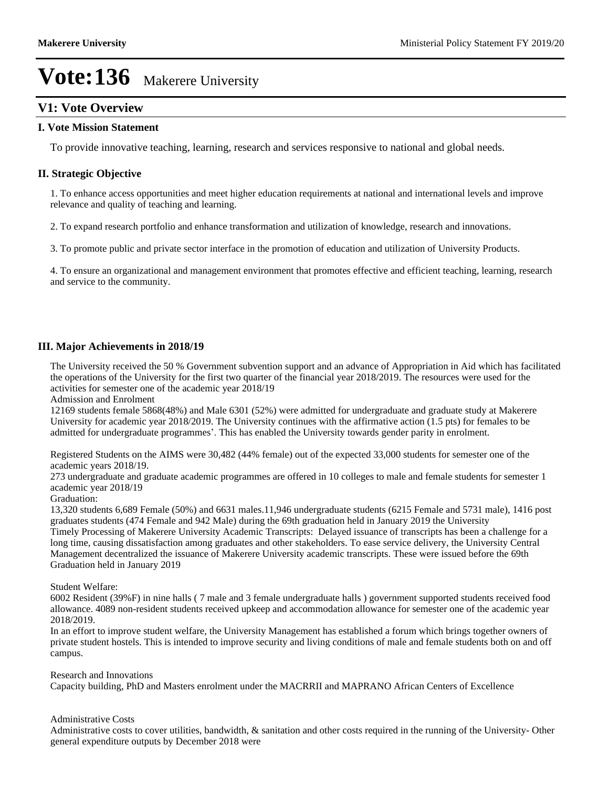## **V1: Vote Overview**

#### **I. Vote Mission Statement**

To provide innovative teaching, learning, research and services responsive to national and global needs.

#### **II. Strategic Objective**

1. To enhance access opportunities and meet higher education requirements at national and international levels and improve relevance and quality of teaching and learning.

2. To expand research portfolio and enhance transformation and utilization of knowledge, research and innovations.

3. To promote public and private sector interface in the promotion of education and utilization of University Products.

4. To ensure an organizational and management environment that promotes effective and efficient teaching, learning, research and service to the community.

#### **III. Major Achievements in 2018/19**

The University received the 50 % Government subvention support and an advance of Appropriation in Aid which has facilitated the operations of the University for the first two quarter of the financial year 2018/2019. The resources were used for the activities for semester one of the academic year 2018/19

Admission and Enrolment

12169 students female 5868(48%) and Male 6301 (52%) were admitted for undergraduate and graduate study at Makerere University for academic year 2018/2019. The University continues with the affirmative action (1.5 pts) for females to be admitted for undergraduate programmes'. This has enabled the University towards gender parity in enrolment.

Registered Students on the AIMS were 30,482 (44% female) out of the expected 33,000 students for semester one of the academic years 2018/19.

273 undergraduate and graduate academic programmes are offered in 10 colleges to male and female students for semester 1 academic year 2018/19

#### Graduation:

13,320 students 6,689 Female (50%) and 6631 males.11,946 undergraduate students (6215 Female and 5731 male), 1416 post graduates students (474 Female and 942 Male) during the 69th graduation held in January 2019 the University

Timely Processing of Makerere University Academic Transcripts: Delayed issuance of transcripts has been a challenge for a long time, causing dissatisfaction among graduates and other stakeholders. To ease service delivery, the University Central Management decentralized the issuance of Makerere University academic transcripts. These were issued before the 69th Graduation held in January 2019

#### Student Welfare:

6002 Resident (39%F) in nine halls ( 7 male and 3 female undergraduate halls ) government supported students received food allowance. 4089 non-resident students received upkeep and accommodation allowance for semester one of the academic year 2018/2019.

In an effort to improve student welfare, the University Management has established a forum which brings together owners of private student hostels. This is intended to improve security and living conditions of male and female students both on and off campus.

Research and Innovations

Capacity building, PhD and Masters enrolment under the MACRRII and MAPRANO African Centers of Excellence

#### Administrative Costs

Administrative costs to cover utilities, bandwidth, & sanitation and other costs required in the running of the University- Other general expenditure outputs by December 2018 were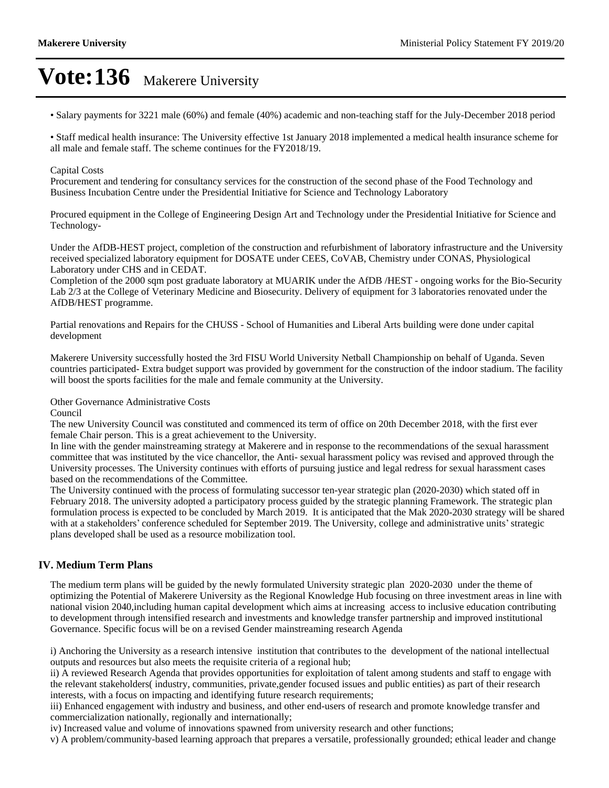Salary payments for 3221 male (60%) and female (40%) academic and non-teaching staff for the July-December 2018 period

Staff medical health insurance: The University effective 1st January 2018 implemented a medical health insurance scheme for all male and female staff. The scheme continues for the FY2018/19.

#### Capital Costs

Procurement and tendering for consultancy services for the construction of the second phase of the Food Technology and Business Incubation Centre under the Presidential Initiative for Science and Technology Laboratory

Procured equipment in the College of Engineering Design Art and Technology under the Presidential Initiative for Science and Technology-

Under the AfDB-HEST project, completion of the construction and refurbishment of laboratory infrastructure and the University received specialized laboratory equipment for DOSATE under CEES, CoVAB, Chemistry under CONAS, Physiological Laboratory under CHS and in CEDAT.

Completion of the 2000 sqm post graduate laboratory at MUARIK under the AfDB /HEST - ongoing works for the Bio-Security Lab 2/3 at the College of Veterinary Medicine and Biosecurity. Delivery of equipment for 3 laboratories renovated under the AfDB/HEST programme.

Partial renovations and Repairs for the CHUSS - School of Humanities and Liberal Arts building were done under capital development

Makerere University successfully hosted the 3rd FISU World University Netball Championship on behalf of Uganda. Seven countries participated- Extra budget support was provided by government for the construction of the indoor stadium. The facility will boost the sports facilities for the male and female community at the University.

Other Governance Administrative Costs

Council

The new University Council was constituted and commenced its term of office on 20th December 2018, with the first ever female Chair person. This is a great achievement to the University.

In line with the gender mainstreaming strategy at Makerere and in response to the recommendations of the sexual harassment committee that was instituted by the vice chancellor, the Anti- sexual harassment policy was revised and approved through the University processes. The University continues with efforts of pursuing justice and legal redress for sexual harassment cases based on the recommendations of the Committee.

The University continued with the process of formulating successor ten-year strategic plan (2020-2030) which stated off in February 2018. The university adopted a participatory process guided by the strategic planning Framework. The strategic plan formulation process is expected to be concluded by March 2019. It is anticipated that the Mak 2020-2030 strategy will be shared with at a stakeholders' conference scheduled for September 2019. The University, college and administrative units' strategic plans developed shall be used as a resource mobilization tool.

#### **IV. Medium Term Plans**

The medium term plans will be guided by the newly formulated University strategic plan 2020-2030 under the theme of optimizing the Potential of Makerere University as the Regional Knowledge Hub focusing on three investment areas in line with national vision 2040,including human capital development which aims at increasing access to inclusive education contributing to development through intensified research and investments and knowledge transfer partnership and improved institutional Governance. Specific focus will be on a revised Gender mainstreaming research Agenda

i) Anchoring the University as a research intensive institution that contributes to the development of the national intellectual outputs and resources but also meets the requisite criteria of a regional hub;

ii) A reviewed Research Agenda that provides opportunities for exploitation of talent among students and staff to engage with the relevant stakeholders( industry, communities, private,gender focused issues and public entities) as part of their research interests, with a focus on impacting and identifying future research requirements;

iii) Enhanced engagement with industry and business, and other end-users of research and promote knowledge transfer and commercialization nationally, regionally and internationally;

iv) Increased value and volume of innovations spawned from university research and other functions;

v) A problem/community-based learning approach that prepares a versatile, professionally grounded; ethical leader and change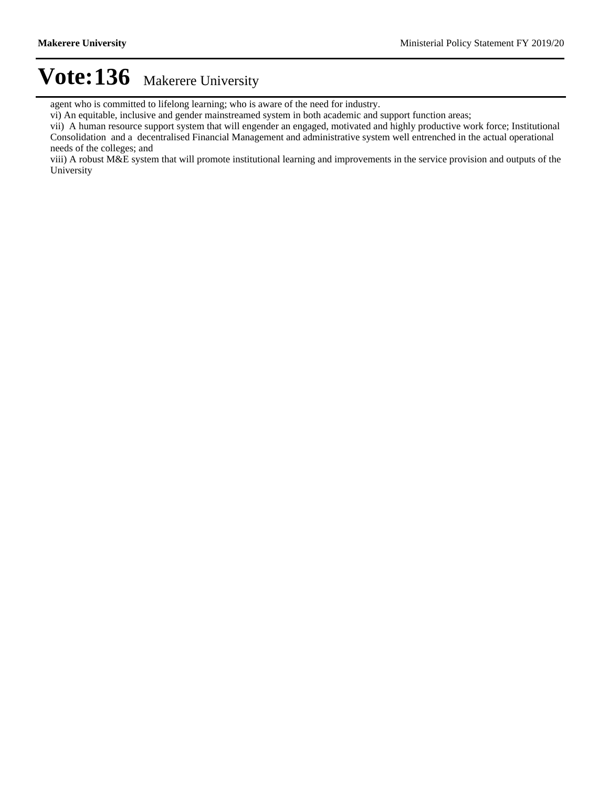agent who is committed to lifelong learning; who is aware of the need for industry.

vi) An equitable, inclusive and gender mainstreamed system in both academic and support function areas;

vii) A human resource support system that will engender an engaged, motivated and highly productive work force; Institutional Consolidation and a decentralised Financial Management and administrative system well entrenched in the actual operational needs of the colleges; and

viii) A robust M&E system that will promote institutional learning and improvements in the service provision and outputs of the University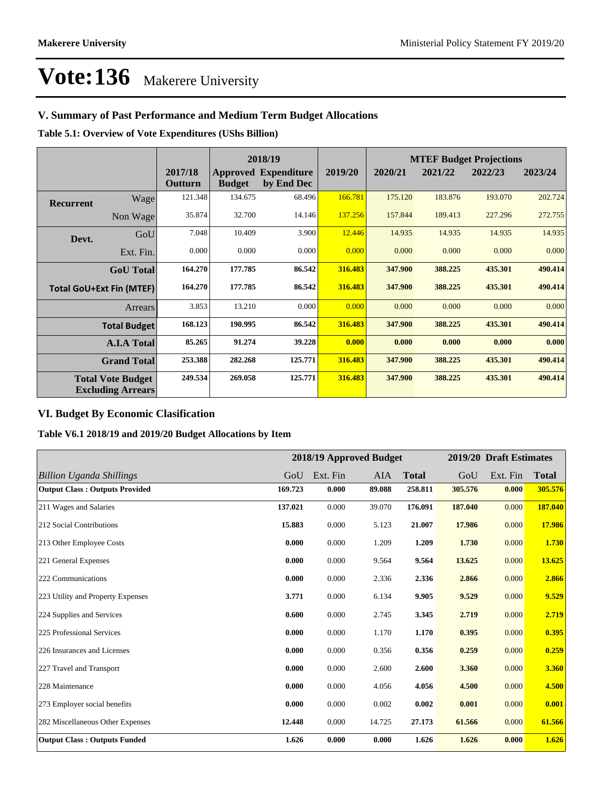## **V. Summary of Past Performance and Medium Term Budget Allocations**

**Table 5.1: Overview of Vote Expenditures (UShs Billion)**

|                  |                                                      |                    |               | 2018/19                                   |         |         |         | <b>MTEF Budget Projections</b> |         |
|------------------|------------------------------------------------------|--------------------|---------------|-------------------------------------------|---------|---------|---------|--------------------------------|---------|
|                  |                                                      | 2017/18<br>Outturn | <b>Budget</b> | <b>Approved Expenditure</b><br>by End Dec | 2019/20 | 2020/21 | 2021/22 | 2022/23                        | 2023/24 |
| <b>Recurrent</b> | Wage                                                 | 121.348            | 134.675       | 68.496                                    | 166.781 | 175.120 | 183.876 | 193.070                        | 202.724 |
|                  | Non Wage                                             | 35.874             | 32.700        | 14.146                                    | 137.256 | 157.844 | 189.413 | 227.296                        | 272.755 |
| Devt.            | GoU                                                  | 7.048              | 10.409        | 3.900                                     | 12.446  | 14.935  | 14.935  | 14.935                         | 14.935  |
|                  | Ext. Fin.                                            | 0.000              | 0.000         | 0.000                                     | 0.000   | 0.000   | 0.000   | 0.000                          | 0.000   |
|                  | <b>GoU</b> Total                                     | 164.270            | 177.785       | 86.542                                    | 316.483 | 347.900 | 388.225 | 435.301                        | 490.414 |
|                  | <b>Total GoU+Ext Fin (MTEF)</b>                      | 164.270            | 177.785       | 86.542                                    | 316.483 | 347.900 | 388.225 | 435.301                        | 490.414 |
|                  | Arrears                                              | 3.853              | 13.210        | 0.000                                     | 0.000   | 0.000   | 0.000   | 0.000                          | 0.000   |
|                  | <b>Total Budget</b>                                  | 168.123            | 190.995       | 86.542                                    | 316.483 | 347.900 | 388.225 | 435.301                        | 490.414 |
|                  | <b>A.I.A Total</b>                                   | 85.265             | 91.274        | 39.228                                    | 0.000   | 0.000   | 0.000   | 0.000                          | 0.000   |
|                  | <b>Grand Total</b>                                   | 253.388            | 282,268       | 125.771                                   | 316.483 | 347.900 | 388.225 | 435.301                        | 490.414 |
|                  | <b>Total Vote Budget</b><br><b>Excluding Arrears</b> | 249.534            | 269.058       | 125.771                                   | 316.483 | 347.900 | 388.225 | 435.301                        | 490.414 |

## **VI. Budget By Economic Clasification**

**Table V6.1 2018/19 and 2019/20 Budget Allocations by Item**

|                                       |         |          | 2018/19 Approved Budget |              |         | 2019/20 Draft Estimates |              |
|---------------------------------------|---------|----------|-------------------------|--------------|---------|-------------------------|--------------|
| <b>Billion Uganda Shillings</b>       | GoU     | Ext. Fin | AIA                     | <b>Total</b> | GoU     | Ext. Fin                | <b>Total</b> |
| <b>Output Class: Outputs Provided</b> | 169.723 | 0.000    | 89.088                  | 258.811      | 305.576 | 0.000                   | 305.576      |
| 211 Wages and Salaries                | 137.021 | 0.000    | 39.070                  | 176.091      | 187.040 | 0.000                   | 187.040      |
| 212 Social Contributions              | 15.883  | 0.000    | 5.123                   | 21.007       | 17.986  | 0.000                   | 17.986       |
| 213 Other Employee Costs              | 0.000   | 0.000    | 1.209                   | 1.209        | 1.730   | 0.000                   | 1.730        |
| 221 General Expenses                  | 0.000   | 0.000    | 9.564                   | 9.564        | 13.625  | 0.000                   | 13.625       |
| 222 Communications                    | 0.000   | 0.000    | 2.336                   | 2.336        | 2.866   | 0.000                   | 2.866        |
| 223 Utility and Property Expenses     | 3.771   | 0.000    | 6.134                   | 9.905        | 9.529   | 0.000                   | 9.529        |
| 224 Supplies and Services             | 0.600   | 0.000    | 2.745                   | 3.345        | 2.719   | 0.000                   | 2.719        |
| 225 Professional Services             | 0.000   | 0.000    | 1.170                   | 1.170        | 0.395   | 0.000                   | 0.395        |
| 226 Insurances and Licenses           | 0.000   | 0.000    | 0.356                   | 0.356        | 0.259   | 0.000                   | 0.259        |
| 227 Travel and Transport              | 0.000   | 0.000    | 2.600                   | 2.600        | 3.360   | 0.000                   | 3.360        |
| 228 Maintenance                       | 0.000   | 0.000    | 4.056                   | 4.056        | 4.500   | 0.000                   | 4.500        |
| 273 Employer social benefits          | 0.000   | 0.000    | 0.002                   | 0.002        | 0.001   | 0.000                   | 0.001        |
| 282 Miscellaneous Other Expenses      | 12.448  | 0.000    | 14.725                  | 27.173       | 61.566  | 0.000                   | 61.566       |
| <b>Output Class: Outputs Funded</b>   | 1.626   | 0.000    | 0.000                   | 1.626        | 1.626   | 0.000                   | 1.626        |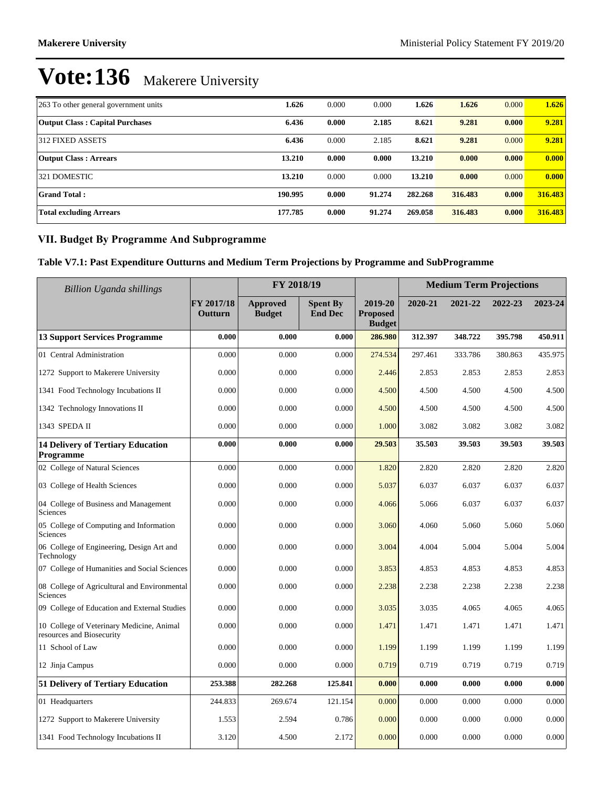| 263 To other general government units  | 1.626   | 0.000 | 0.000  | 1.626   | 1.626   | 0.000 | 1.626   |
|----------------------------------------|---------|-------|--------|---------|---------|-------|---------|
| <b>Output Class: Capital Purchases</b> | 6.436   | 0.000 | 2.185  | 8.621   | 9.281   | 0.000 | 9.281   |
| 312 FIXED ASSETS                       | 6.436   | 0.000 | 2.185  | 8.621   | 9.281   | 0.000 | 9.281   |
| <b>Output Class: Arrears</b>           | 13.210  | 0.000 | 0.000  | 13.210  | 0.000   | 0.000 | 0.000   |
| 321 DOMESTIC                           | 13.210  | 0.000 | 0.000  | 13.210  | 0.000   | 0.000 | 0.000   |
| <b>Grand Total:</b>                    | 190.995 | 0.000 | 91.274 | 282.268 | 316.483 | 0.000 | 316.483 |
| <b>Total excluding Arrears</b>         | 177.785 | 0.000 | 91.274 | 269.058 | 316.483 | 0.000 | 316.483 |

## **VII. Budget By Programme And Subprogramme**

**Table V7.1: Past Expenditure Outturns and Medium Term Projections by Programme and SubProgramme**

| <b>Billion Uganda shillings</b>                                        | FY 2018/19            |                                  |                                   |                                             | <b>Medium Term Projections</b> |         |         |         |
|------------------------------------------------------------------------|-----------------------|----------------------------------|-----------------------------------|---------------------------------------------|--------------------------------|---------|---------|---------|
|                                                                        | FY 2017/18<br>Outturn | <b>Approved</b><br><b>Budget</b> | <b>Spent By</b><br><b>End Dec</b> | 2019-20<br><b>Proposed</b><br><b>Budget</b> | 2020-21                        | 2021-22 | 2022-23 | 2023-24 |
| <b>13 Support Services Programme</b>                                   | 0.000                 | 0.000                            | 0.000                             | 286.980                                     | 312.397                        | 348.722 | 395.798 | 450.911 |
| 01 Central Administration                                              | 0.000                 | 0.000                            | 0.000                             | 274.534                                     | 297.461                        | 333.786 | 380.863 | 435.975 |
| 1272 Support to Makerere University                                    | 0.000                 | 0.000                            | 0.000                             | 2.446                                       | 2.853                          | 2.853   | 2.853   | 2.853   |
| 1341 Food Technology Incubations II                                    | 0.000                 | 0.000                            | 0.000                             | 4.500                                       | 4.500                          | 4.500   | 4.500   | 4.500   |
| 1342 Technology Innovations II                                         | 0.000                 | 0.000                            | 0.000                             | 4.500                                       | 4.500                          | 4.500   | 4.500   | 4.500   |
| 1343 SPEDA II                                                          | 0.000                 | 0.000                            | 0.000                             | 1.000                                       | 3.082                          | 3.082   | 3.082   | 3.082   |
| <b>14 Delivery of Tertiary Education</b><br>Programme                  | 0.000                 | 0.000                            | 0.000                             | 29.503                                      | 35.503                         | 39.503  | 39.503  | 39.503  |
| 02 College of Natural Sciences                                         | 0.000                 | 0.000                            | 0.000                             | 1.820                                       | 2.820                          | 2.820   | 2.820   | 2.820   |
| 03 College of Health Sciences                                          | 0.000                 | 0.000                            | 0.000                             | 5.037                                       | 6.037                          | 6.037   | 6.037   | 6.037   |
| 04 College of Business and Management<br>Sciences                      | 0.000                 | 0.000                            | 0.000                             | 4.066                                       | 5.066                          | 6.037   | 6.037   | 6.037   |
| 05 College of Computing and Information<br>Sciences                    | 0.000                 | 0.000                            | 0.000                             | 3.060                                       | 4.060                          | 5.060   | 5.060   | 5.060   |
| 06 College of Engineering, Design Art and<br>Technology                | 0.000                 | 0.000                            | 0.000                             | 3.004                                       | 4.004                          | 5.004   | 5.004   | 5.004   |
| 07 College of Humanities and Social Sciences                           | 0.000                 | 0.000                            | 0.000                             | 3.853                                       | 4.853                          | 4.853   | 4.853   | 4.853   |
| 08 College of Agricultural and Environmental<br>Sciences               | 0.000                 | 0.000                            | 0.000                             | 2.238                                       | 2.238                          | 2.238   | 2.238   | 2.238   |
| 09 College of Education and External Studies                           | 0.000                 | 0.000                            | 0.000                             | 3.035                                       | 3.035                          | 4.065   | 4.065   | 4.065   |
| 10 College of Veterinary Medicine, Animal<br>resources and Biosecurity | 0.000                 | 0.000                            | 0.000                             | 1.471                                       | 1.471                          | 1.471   | 1.471   | 1.471   |
| 11 School of Law                                                       | 0.000                 | 0.000                            | 0.000                             | 1.199                                       | 1.199                          | 1.199   | 1.199   | 1.199   |
| 12 Jinja Campus                                                        | 0.000                 | 0.000                            | 0.000                             | 0.719                                       | 0.719                          | 0.719   | 0.719   | 0.719   |
| 51 Delivery of Tertiary Education                                      | 253.388               | 282.268                          | 125.841                           | 0.000                                       | 0.000                          | 0.000   | 0.000   | 0.000   |
| 01 Headquarters                                                        | 244.833               | 269.674                          | 121.154                           | 0.000                                       | 0.000                          | 0.000   | 0.000   | 0.000   |
| 1272 Support to Makerere University                                    | 1.553                 | 2.594                            | 0.786                             | 0.000                                       | 0.000                          | 0.000   | 0.000   | 0.000   |
| 1341 Food Technology Incubations II                                    | 3.120                 | 4.500                            | 2.172                             | 0.000                                       | 0.000                          | 0.000   | 0.000   | 0.000   |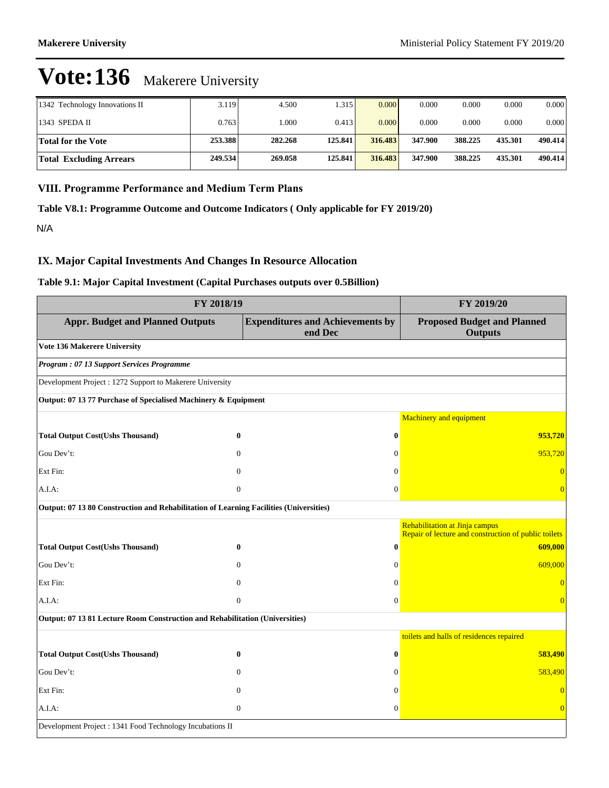| 1342 Technology Innovations II | 3.119   | 4.500   | .315    | 0.000   | 0.000   | 0.000   | 0.000   | 0.000   |
|--------------------------------|---------|---------|---------|---------|---------|---------|---------|---------|
| 1343 SPEDA II                  | 0.763   | .000    | 0.413   | 0.000   | 0.000   | 0.000   | 0.000   | 0.000   |
| Total for the Vote             | 253.388 | 282.268 | 125,841 | 316.483 | 347.900 | 388.225 | 435.301 | 490.414 |
| <b>Total Excluding Arrears</b> | 249.534 | 269.058 | 125.841 | 316.483 | 347.900 | 388.225 | 435.301 | 490.414 |

### **VIII. Programme Performance and Medium Term Plans**

**Table V8.1: Programme Outcome and Outcome Indicators ( Only applicable for FY 2019/20)**

N/A

#### **IX. Major Capital Investments And Changes In Resource Allocation**

#### **Table 9.1: Major Capital Investment (Capital Purchases outputs over 0.5Billion)**

| FY 2018/19                                                                             | FY 2019/20                                         |                                                                                        |  |
|----------------------------------------------------------------------------------------|----------------------------------------------------|----------------------------------------------------------------------------------------|--|
| <b>Appr. Budget and Planned Outputs</b>                                                | <b>Expenditures and Achievements by</b><br>end Dec | <b>Proposed Budget and Planned</b><br><b>Outputs</b>                                   |  |
| Vote 136 Makerere University                                                           |                                                    |                                                                                        |  |
| Program: 07 13 Support Services Programme                                              |                                                    |                                                                                        |  |
| Development Project : 1272 Support to Makerere University                              |                                                    |                                                                                        |  |
| Output: 07 13 77 Purchase of Specialised Machinery & Equipment                         |                                                    |                                                                                        |  |
|                                                                                        |                                                    | <b>Machinery and equipment</b>                                                         |  |
| <b>Total Output Cost(Ushs Thousand)</b>                                                | $\bf{0}$<br>$\bf{0}$                               | 953,720                                                                                |  |
| Gou Dev't:                                                                             | $\Omega$<br>$\Omega$                               | 953,720                                                                                |  |
| Ext Fin:                                                                               | $\Omega$<br>$\Omega$                               | $\overline{0}$                                                                         |  |
| A.I.A.                                                                                 | $\mathbf{0}$<br>$\mathbf{0}$                       | $\overline{0}$                                                                         |  |
| Output: 07 13 80 Construction and Rehabilitation of Learning Facilities (Universities) |                                                    |                                                                                        |  |
|                                                                                        |                                                    | Rehabilitation at Jinja campus<br>Repair of lecture and construction of public toilets |  |
| <b>Total Output Cost(Ushs Thousand)</b>                                                | $\bf{0}$<br>$\bf{0}$                               | 609,000                                                                                |  |
| Gou Dev't:                                                                             | $\Omega$<br>$\Omega$                               | 609,000                                                                                |  |
| Ext Fin:                                                                               | $\Omega$<br>$\Omega$                               | $\overline{0}$                                                                         |  |
| A.I.A:                                                                                 | $\mathbf{0}$<br>$\mathbf{0}$                       | $\overline{0}$                                                                         |  |
| Output: 07 13 81 Lecture Room Construction and Rehabilitation (Universities)           |                                                    |                                                                                        |  |
|                                                                                        |                                                    | toilets and halls of residences repaired                                               |  |
| <b>Total Output Cost(Ushs Thousand)</b>                                                | $\bf{0}$<br>$\bf{0}$                               | 583,490                                                                                |  |
| Gou Dev't:                                                                             | $\Omega$<br>$\Omega$                               | 583,490                                                                                |  |
| Ext Fin:                                                                               | $\mathbf{0}$<br>$\mathbf{0}$                       | $\overline{0}$                                                                         |  |
| A.I.A:                                                                                 | $\overline{0}$<br>$\mathbf{0}$                     | $\overline{0}$                                                                         |  |
| Development Project : 1341 Food Technology Incubations II                              |                                                    |                                                                                        |  |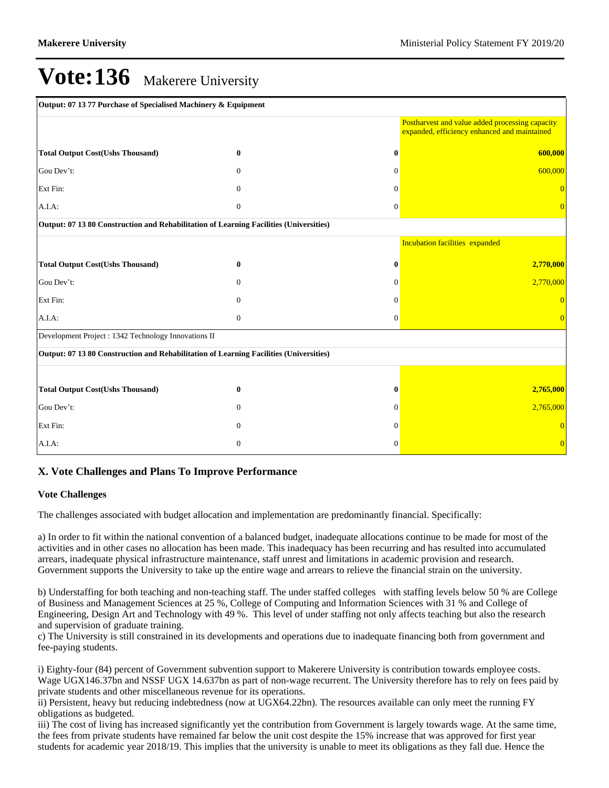| Output: 07 13 77 Purchase of Specialised Machinery & Equipment                         |                  |              |                                                                                                 |  |  |
|----------------------------------------------------------------------------------------|------------------|--------------|-------------------------------------------------------------------------------------------------|--|--|
|                                                                                        |                  |              | Postharvest and value added processing capacity<br>expanded, efficiency enhanced and maintained |  |  |
| <b>Total Output Cost(Ushs Thousand)</b>                                                | $\bf{0}$         | $\mathbf{0}$ | 600,000                                                                                         |  |  |
| Gou Dev't:                                                                             | $\Omega$         | $\Omega$     | 600,000                                                                                         |  |  |
| Ext Fin:                                                                               | $\Omega$         | $\Omega$     | $\overline{0}$                                                                                  |  |  |
| A.I.A:                                                                                 | $\mathbf{0}$     | $\theta$     | $\overline{0}$                                                                                  |  |  |
| Output: 07 13 80 Construction and Rehabilitation of Learning Facilities (Universities) |                  |              |                                                                                                 |  |  |
|                                                                                        |                  |              | <b>Incubation facilities expanded</b>                                                           |  |  |
| <b>Total Output Cost(Ushs Thousand)</b>                                                | $\mathbf{0}$     | 0            | 2,770,000                                                                                       |  |  |
| Gou Dev't:                                                                             | $\Omega$         | $\Omega$     | 2,770,000                                                                                       |  |  |
| Ext Fin:                                                                               | $\mathbf{0}$     | $\Omega$     |                                                                                                 |  |  |
| A.I.A.                                                                                 | $\boldsymbol{0}$ | $\mathbf{0}$ | $\Omega$                                                                                        |  |  |
| Development Project : 1342 Technology Innovations II                                   |                  |              |                                                                                                 |  |  |
| Output: 07 13 80 Construction and Rehabilitation of Learning Facilities (Universities) |                  |              |                                                                                                 |  |  |
|                                                                                        |                  |              |                                                                                                 |  |  |
| <b>Total Output Cost(Ushs Thousand)</b>                                                | $\bf{0}$         | 0            | 2,765,000                                                                                       |  |  |
| Gou Dev't:                                                                             | $\Omega$         | $\Omega$     | 2,765,000                                                                                       |  |  |
| Ext Fin:                                                                               | $\Omega$         | $\Omega$     |                                                                                                 |  |  |
| A.I.A:                                                                                 | $\mathbf{0}$     | $\theta$     | $\overline{0}$                                                                                  |  |  |

## **X. Vote Challenges and Plans To Improve Performance**

#### **Vote Challenges**

The challenges associated with budget allocation and implementation are predominantly financial. Specifically:

a) In order to fit within the national convention of a balanced budget, inadequate allocations continue to be made for most of the activities and in other cases no allocation has been made. This inadequacy has been recurring and has resulted into accumulated arrears, inadequate physical infrastructure maintenance, staff unrest and limitations in academic provision and research. Government supports the University to take up the entire wage and arrears to relieve the financial strain on the university.

b) Understaffing for both teaching and non-teaching staff. The under staffed colleges with staffing levels below 50 % are College of Business and Management Sciences at 25 %, College of Computing and Information Sciences with 31 % and College of Engineering, Design Art and Technology with 49 %. This level of under staffing not only affects teaching but also the research and supervision of graduate training.

c) The University is still constrained in its developments and operations due to inadequate financing both from government and fee-paying students.

i) Eighty-four (84) percent of Government subvention support to Makerere University is contribution towards employee costs. Wage UGX146.37bn and NSSF UGX 14.637bn as part of non-wage recurrent. The University therefore has to rely on fees paid by private students and other miscellaneous revenue for its operations.

ii) Persistent, heavy but reducing indebtedness (now at UGX64.22bn). The resources available can only meet the running FY obligations as budgeted.

iii) The cost of living has increased significantly yet the contribution from Government is largely towards wage. At the same time, the fees from private students have remained far below the unit cost despite the 15% increase that was approved for first year students for academic year 2018/19. This implies that the university is unable to meet its obligations as they fall due. Hence the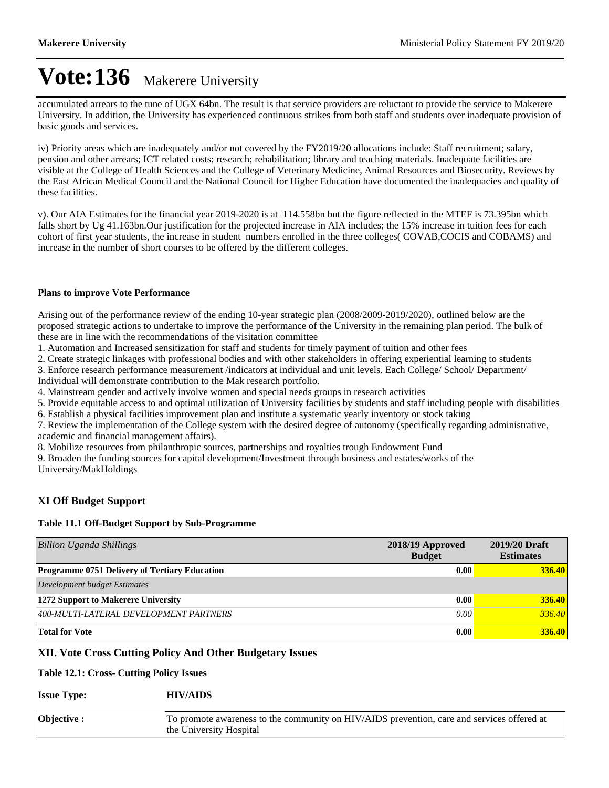accumulated arrears to the tune of UGX 64bn. The result is that service providers are reluctant to provide the service to Makerere University. In addition, the University has experienced continuous strikes from both staff and students over inadequate provision of basic goods and services.

iv) Priority areas which are inadequately and/or not covered by the FY2019/20 allocations include: Staff recruitment; salary, pension and other arrears; ICT related costs; research; rehabilitation; library and teaching materials. Inadequate facilities are visible at the College of Health Sciences and the College of Veterinary Medicine, Animal Resources and Biosecurity. Reviews by the East African Medical Council and the National Council for Higher Education have documented the inadequacies and quality of these facilities.

v). Our AIA Estimates for the financial year 2019-2020 is at 114.558bn but the figure reflected in the MTEF is 73.395bn which falls short by Ug 41.163bn.Our justification for the projected increase in AIA includes; the 15% increase in tuition fees for each cohort of first year students, the increase in student numbers enrolled in the three colleges( COVAB,COCIS and COBAMS) and increase in the number of short courses to be offered by the different colleges.

#### **Plans to improve Vote Performance**

Arising out of the performance review of the ending 10-year strategic plan (2008/2009-2019/2020), outlined below are the proposed strategic actions to undertake to improve the performance of the University in the remaining plan period. The bulk of these are in line with the recommendations of the visitation committee

1. Automation and Increased sensitization for staff and students for timely payment of tuition and other fees

2. Create strategic linkages with professional bodies and with other stakeholders in offering experiential learning to students

3. Enforce research performance measurement /indicators at individual and unit levels. Each College/ School/ Department/

Individual will demonstrate contribution to the Mak research portfolio.

4. Mainstream gender and actively involve women and special needs groups in research activities

5. Provide equitable access to and optimal utilization of University facilities by students and staff including people with disabilities

6. Establish a physical facilities improvement plan and institute a systematic yearly inventory or stock taking

7. Review the implementation of the College system with the desired degree of autonomy (specifically regarding administrative, academic and financial management affairs).

8. Mobilize resources from philanthropic sources, partnerships and royalties trough Endowment Fund

9. Broaden the funding sources for capital development/Investment through business and estates/works of the

University/MakHoldings

## **XI Off Budget Support**

## **Table 11.1 Off-Budget Support by Sub-Programme**

| <b>Billion Uganda Shillings</b>                      | 2018/19 Approved<br><b>Budget</b> | 2019/20 Draft<br><b>Estimates</b> |
|------------------------------------------------------|-----------------------------------|-----------------------------------|
| <b>Programme 0751 Delivery of Tertiary Education</b> | 0.00                              | <b>336.40</b>                     |
| Development budget Estimates                         |                                   |                                   |
| 1272 Support to Makerere University                  | 0.00                              | 336.40                            |
| 400-MULTI-LATERAL DEVELOPMENT PARTNERS               | 0.00                              | 336.40                            |
| <b>Total for Vote</b>                                | 0.00                              | 336.40                            |

## **XII. Vote Cross Cutting Policy And Other Budgetary Issues**

## **Table 12.1: Cross- Cutting Policy Issues**

## **Issue Type: HIV/AIDS**

| Objective : | To promote awareness to the community on HIV/AIDS prevention, care and services offered at |
|-------------|--------------------------------------------------------------------------------------------|
|             | the University Hospital                                                                    |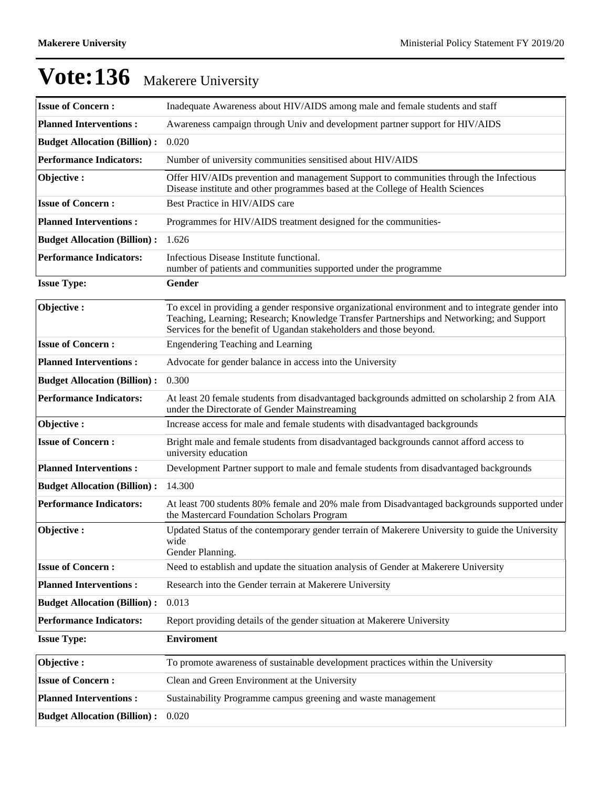| <b>Issue of Concern:</b>            | Inadequate Awareness about HIV/AIDS among male and female students and staff                                                                                                                                                                                         |
|-------------------------------------|----------------------------------------------------------------------------------------------------------------------------------------------------------------------------------------------------------------------------------------------------------------------|
| <b>Planned Interventions:</b>       | Awareness campaign through Univ and development partner support for HIV/AIDS                                                                                                                                                                                         |
| <b>Budget Allocation (Billion):</b> | 0.020                                                                                                                                                                                                                                                                |
| <b>Performance Indicators:</b>      | Number of university communities sensitised about HIV/AIDS                                                                                                                                                                                                           |
| Objective:                          | Offer HIV/AIDs prevention and management Support to communities through the Infectious<br>Disease institute and other programmes based at the College of Health Sciences                                                                                             |
| <b>Issue of Concern:</b>            | Best Practice in HIV/AIDS care                                                                                                                                                                                                                                       |
| <b>Planned Interventions:</b>       | Programmes for HIV/AIDS treatment designed for the communities-                                                                                                                                                                                                      |
| <b>Budget Allocation (Billion):</b> | 1.626                                                                                                                                                                                                                                                                |
| <b>Performance Indicators:</b>      | Infectious Disease Institute functional.<br>number of patients and communities supported under the programme                                                                                                                                                         |
| <b>Issue Type:</b>                  | Gender                                                                                                                                                                                                                                                               |
| Objective:                          | To excel in providing a gender responsive organizational environment and to integrate gender into<br>Teaching, Learning; Research; Knowledge Transfer Partnerships and Networking; and Support<br>Services for the benefit of Ugandan stakeholders and those beyond. |
| <b>Issue of Concern:</b>            | <b>Engendering Teaching and Learning</b>                                                                                                                                                                                                                             |
| <b>Planned Interventions:</b>       | Advocate for gender balance in access into the University                                                                                                                                                                                                            |
| <b>Budget Allocation (Billion):</b> | 0.300                                                                                                                                                                                                                                                                |
| <b>Performance Indicators:</b>      | At least 20 female students from disadvantaged backgrounds admitted on scholarship 2 from AIA<br>under the Directorate of Gender Mainstreaming                                                                                                                       |
| Objective:                          | Increase access for male and female students with disadvantaged backgrounds                                                                                                                                                                                          |
| <b>Issue of Concern:</b>            | Bright male and female students from disadvantaged backgrounds cannot afford access to<br>university education                                                                                                                                                       |
| <b>Planned Interventions:</b>       | Development Partner support to male and female students from disadvantaged backgrounds                                                                                                                                                                               |
| <b>Budget Allocation (Billion):</b> | 14.300                                                                                                                                                                                                                                                               |
| <b>Performance Indicators:</b>      | At least 700 students 80% female and 20% male from Disadvantaged backgrounds supported under<br>the Mastercard Foundation Scholars Program                                                                                                                           |
| Objective:                          | Updated Status of the contemporary gender terrain of Makerere University to guide the University<br>wide<br>Gender Planning.                                                                                                                                         |
| <b>Issue of Concern:</b>            | Need to establish and update the situation analysis of Gender at Makerere University                                                                                                                                                                                 |
| <b>Planned Interventions:</b>       | Research into the Gender terrain at Makerere University                                                                                                                                                                                                              |
| <b>Budget Allocation (Billion):</b> | 0.013                                                                                                                                                                                                                                                                |
| <b>Performance Indicators:</b>      | Report providing details of the gender situation at Makerere University                                                                                                                                                                                              |
| <b>Issue Type:</b>                  | <b>Enviroment</b>                                                                                                                                                                                                                                                    |
| Objective:                          | To promote awareness of sustainable development practices within the University                                                                                                                                                                                      |
| <b>Issue of Concern:</b>            | Clean and Green Environment at the University                                                                                                                                                                                                                        |
| <b>Planned Interventions:</b>       | Sustainability Programme campus greening and waste management                                                                                                                                                                                                        |
| <b>Budget Allocation (Billion):</b> | 0.020                                                                                                                                                                                                                                                                |